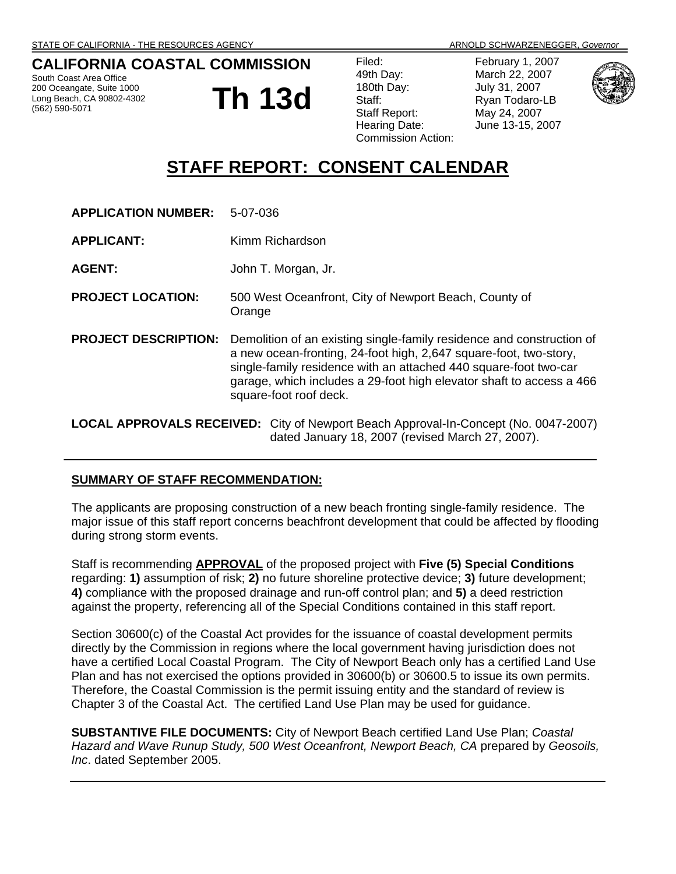## **CALIFORNIA COASTAL COMMISSION**

South Coast Area Office 200 Oceangate, Suite 1000 Long Beach, CA 90802-4302 (562) 590-5071

**Th 13d**

February 1, 2007 March 22, 2007 July 31, 2007 Ryan Todaro-LB May 24, 2007 June 13-15, 2007



# **STAFF REPORT: CONSENT CALENDAR**

| <b>APPLICATION NUMBER:</b>                                                                                                                     | 5-07-036                                                                                                                                                                                                                                                                                                         |
|------------------------------------------------------------------------------------------------------------------------------------------------|------------------------------------------------------------------------------------------------------------------------------------------------------------------------------------------------------------------------------------------------------------------------------------------------------------------|
| <b>APPLICANT:</b>                                                                                                                              | Kimm Richardson                                                                                                                                                                                                                                                                                                  |
| <b>AGENT:</b>                                                                                                                                  | John T. Morgan, Jr.                                                                                                                                                                                                                                                                                              |
| <b>PROJECT LOCATION:</b>                                                                                                                       | 500 West Oceanfront, City of Newport Beach, County of<br>Orange                                                                                                                                                                                                                                                  |
| <b>PROJECT DESCRIPTION:</b>                                                                                                                    | Demolition of an existing single-family residence and construction of<br>a new ocean-fronting, 24-foot high, 2,647 square-foot, two-story,<br>single-family residence with an attached 440 square-foot two-car<br>garage, which includes a 29-foot high elevator shaft to access a 466<br>square-foot roof deck. |
| <b>LOCAL APPROVALS RECEIVED:</b> City of Newport Beach Approval-In-Concept (No. 0047-2007)<br>dated January 18, 2007 (revised March 27, 2007). |                                                                                                                                                                                                                                                                                                                  |

#### **SUMMARY OF STAFF RECOMMENDATION:**

The applicants are proposing construction of a new beach fronting single-family residence. The major issue of this staff report concerns beachfront development that could be affected by flooding during strong storm events.

Staff is recommending **APPROVAL** of the proposed project with **Five (5) Special Conditions**  regarding: **1)** assumption of risk; **2)** no future shoreline protective device; **3)** future development; **4)** compliance with the proposed drainage and run-off control plan; and **5)** a deed restriction against the property, referencing all of the Special Conditions contained in this staff report.

Section 30600(c) of the Coastal Act provides for the issuance of coastal development permits directly by the Commission in regions where the local government having jurisdiction does not have a certified Local Coastal Program. The City of Newport Beach only has a certified Land Use Plan and has not exercised the options provided in 30600(b) or 30600.5 to issue its own permits. Therefore, the Coastal Commission is the permit issuing entity and the standard of review is Chapter 3 of the Coastal Act. The certified Land Use Plan may be used for guidance.

**SUBSTANTIVE FILE DOCUMENTS:** City of Newport Beach certified Land Use Plan; *Coastal Hazard and Wave Runup Study, 500 West Oceanfront, Newport Beach, CA* prepared by *Geosoils, Inc*. dated September 2005.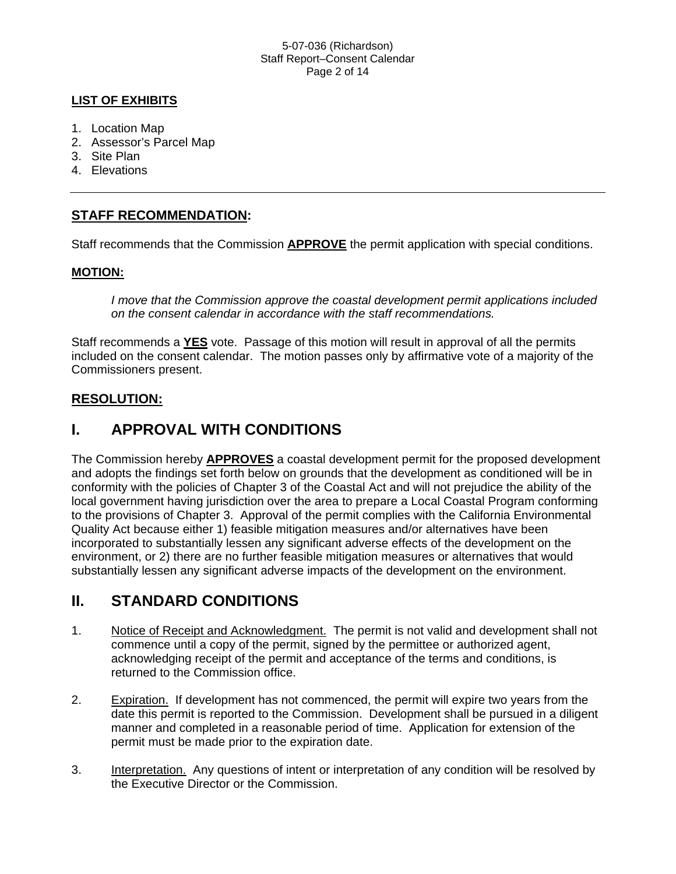#### 5-07-036 (Richardson) Staff Report–Consent Calendar Page 2 of 14

### **LIST OF EXHIBITS**

- 1. Location Map
- 2. Assessor's Parcel Map
- 3. Site Plan
- 4. Elevations

### **STAFF RECOMMENDATION:**

Staff recommends that the Commission **APPROVE** the permit application with special conditions.

### **MOTION:**

*I move that the Commission approve the coastal development permit applications included on the consent calendar in accordance with the staff recommendations.*

Staff recommends a **YES** vote. Passage of this motion will result in approval of all the permits included on the consent calendar. The motion passes only by affirmative vote of a majority of the Commissioners present.

### **RESOLUTION:**

## **I. APPROVAL WITH CONDITIONS**

The Commission hereby **APPROVES** a coastal development permit for the proposed development and adopts the findings set forth below on grounds that the development as conditioned will be in conformity with the policies of Chapter 3 of the Coastal Act and will not prejudice the ability of the local government having jurisdiction over the area to prepare a Local Coastal Program conforming to the provisions of Chapter 3. Approval of the permit complies with the California Environmental Quality Act because either 1) feasible mitigation measures and/or alternatives have been incorporated to substantially lessen any significant adverse effects of the development on the environment, or 2) there are no further feasible mitigation measures or alternatives that would substantially lessen any significant adverse impacts of the development on the environment.

## **II. STANDARD CONDITIONS**

- 1. Notice of Receipt and Acknowledgment. The permit is not valid and development shall not commence until a copy of the permit, signed by the permittee or authorized agent, acknowledging receipt of the permit and acceptance of the terms and conditions, is returned to the Commission office.
- 2. Expiration. If development has not commenced, the permit will expire two years from the date this permit is reported to the Commission. Development shall be pursued in a diligent manner and completed in a reasonable period of time. Application for extension of the permit must be made prior to the expiration date.
- 3. Interpretation. Any questions of intent or interpretation of any condition will be resolved by the Executive Director or the Commission.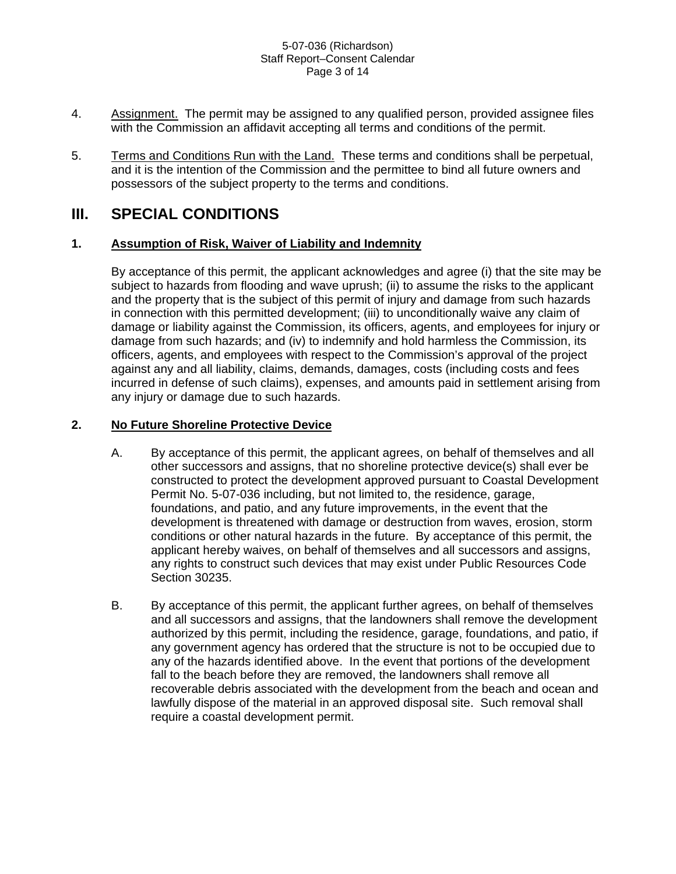#### 5-07-036 (Richardson) Staff Report–Consent Calendar Page 3 of 14

- 4. Assignment. The permit may be assigned to any qualified person, provided assignee files with the Commission an affidavit accepting all terms and conditions of the permit.
- 5. Terms and Conditions Run with the Land. These terms and conditions shall be perpetual, and it is the intention of the Commission and the permittee to bind all future owners and possessors of the subject property to the terms and conditions.

## **III. SPECIAL CONDITIONS**

### **1. Assumption of Risk, Waiver of Liability and Indemnity**

 By acceptance of this permit, the applicant acknowledges and agree (i) that the site may be subject to hazards from flooding and wave uprush; (ii) to assume the risks to the applicant and the property that is the subject of this permit of injury and damage from such hazards in connection with this permitted development; (iii) to unconditionally waive any claim of damage or liability against the Commission, its officers, agents, and employees for injury or damage from such hazards; and (iv) to indemnify and hold harmless the Commission, its officers, agents, and employees with respect to the Commission's approval of the project against any and all liability, claims, demands, damages, costs (including costs and fees incurred in defense of such claims), expenses, and amounts paid in settlement arising from any injury or damage due to such hazards.

### **2. No Future Shoreline Protective Device**

- A. By acceptance of this permit, the applicant agrees, on behalf of themselves and all other successors and assigns, that no shoreline protective device(s) shall ever be constructed to protect the development approved pursuant to Coastal Development Permit No. 5-07-036 including, but not limited to, the residence, garage, foundations, and patio, and any future improvements, in the event that the development is threatened with damage or destruction from waves, erosion, storm conditions or other natural hazards in the future. By acceptance of this permit, the applicant hereby waives, on behalf of themselves and all successors and assigns, any rights to construct such devices that may exist under Public Resources Code Section 30235.
- B. By acceptance of this permit, the applicant further agrees, on behalf of themselves and all successors and assigns, that the landowners shall remove the development authorized by this permit, including the residence, garage, foundations, and patio, if any government agency has ordered that the structure is not to be occupied due to any of the hazards identified above. In the event that portions of the development fall to the beach before they are removed, the landowners shall remove all recoverable debris associated with the development from the beach and ocean and lawfully dispose of the material in an approved disposal site. Such removal shall require a coastal development permit.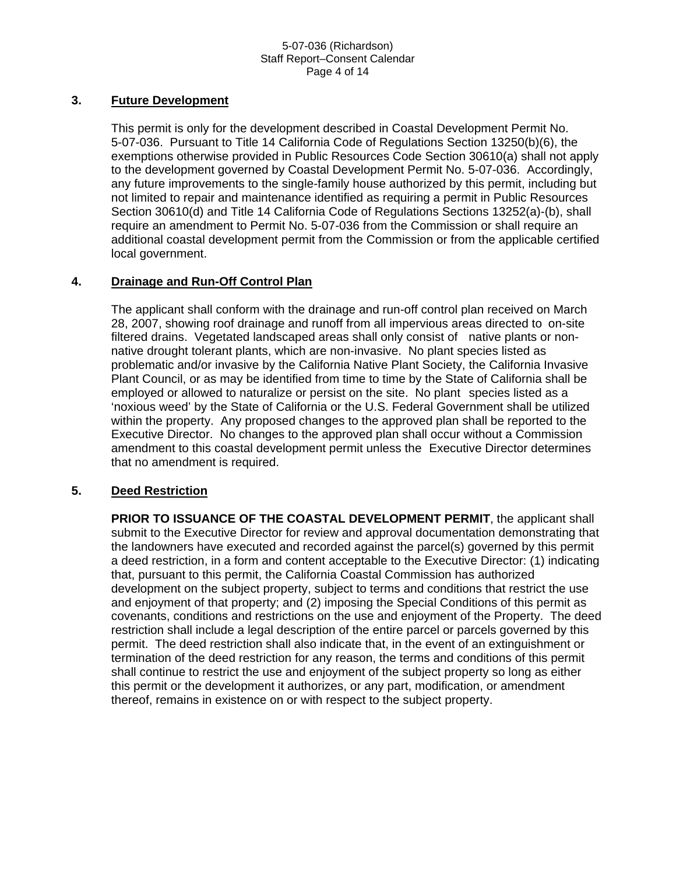#### 5-07-036 (Richardson) Staff Report–Consent Calendar Page 4 of 14

#### **3. Future Development**

 This permit is only for the development described in Coastal Development Permit No. 5-07-036. Pursuant to Title 14 California Code of Regulations Section 13250(b)(6), the exemptions otherwise provided in Public Resources Code Section 30610(a) shall not apply to the development governed by Coastal Development Permit No. 5-07-036. Accordingly, any future improvements to the single-family house authorized by this permit, including but not limited to repair and maintenance identified as requiring a permit in Public Resources Section 30610(d) and Title 14 California Code of Regulations Sections 13252(a)-(b), shall require an amendment to Permit No. 5-07-036 from the Commission or shall require an additional coastal development permit from the Commission or from the applicable certified local government.

#### **4. Drainage and Run-Off Control Plan**

 The applicant shall conform with the drainage and run-off control plan received on March 28, 2007, showing roof drainage and runoff from all impervious areas directed to on-site filtered drains. Vegetated landscaped areas shall only consist of native plants or nonnative drought tolerant plants, which are non-invasive. No plant species listed as problematic and/or invasive by the California Native Plant Society, the California Invasive Plant Council, or as may be identified from time to time by the State of California shall be employed or allowed to naturalize or persist on the site. No plant species listed as a 'noxious weed' by the State of California or the U.S. Federal Government shall be utilized within the property. Any proposed changes to the approved plan shall be reported to the Executive Director. No changes to the approved plan shall occur without a Commission amendment to this coastal development permit unless the Executive Director determines that no amendment is required.

#### **5. Deed Restriction**

 **PRIOR TO ISSUANCE OF THE COASTAL DEVELOPMENT PERMIT**, the applicant shall submit to the Executive Director for review and approval documentation demonstrating that the landowners have executed and recorded against the parcel(s) governed by this permit a deed restriction, in a form and content acceptable to the Executive Director: (1) indicating that, pursuant to this permit, the California Coastal Commission has authorized development on the subject property, subject to terms and conditions that restrict the use and enjoyment of that property; and (2) imposing the Special Conditions of this permit as covenants, conditions and restrictions on the use and enjoyment of the Property. The deed restriction shall include a legal description of the entire parcel or parcels governed by this permit. The deed restriction shall also indicate that, in the event of an extinguishment or termination of the deed restriction for any reason, the terms and conditions of this permit shall continue to restrict the use and enjoyment of the subject property so long as either this permit or the development it authorizes, or any part, modification, or amendment thereof, remains in existence on or with respect to the subject property.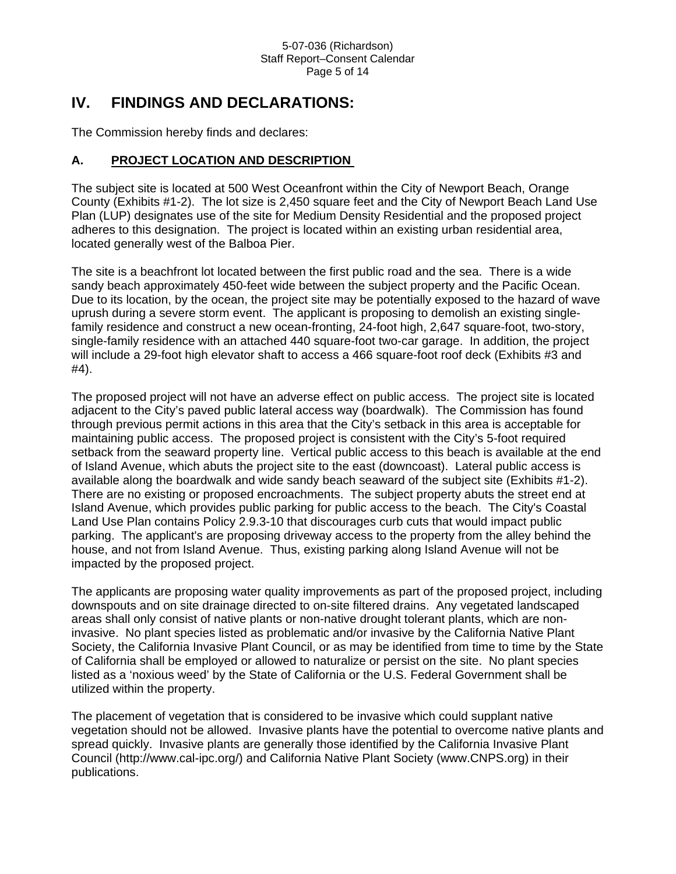## **IV. FINDINGS AND DECLARATIONS:**

The Commission hereby finds and declares:

### **A. PROJECT LOCATION AND DESCRIPTION**

The subject site is located at 500 West Oceanfront within the City of Newport Beach, Orange County (Exhibits #1-2). The lot size is 2,450 square feet and the City of Newport Beach Land Use Plan (LUP) designates use of the site for Medium Density Residential and the proposed project adheres to this designation. The project is located within an existing urban residential area, located generally west of the Balboa Pier.

The site is a beachfront lot located between the first public road and the sea. There is a wide sandy beach approximately 450-feet wide between the subject property and the Pacific Ocean. Due to its location, by the ocean, the project site may be potentially exposed to the hazard of wave uprush during a severe storm event. The applicant is proposing to demolish an existing singlefamily residence and construct a new ocean-fronting, 24-foot high, 2,647 square-foot, two-story, single-family residence with an attached 440 square-foot two-car garage. In addition, the project will include a 29-foot high elevator shaft to access a 466 square-foot roof deck (Exhibits #3 and #4).

The proposed project will not have an adverse effect on public access. The project site is located adjacent to the City's paved public lateral access way (boardwalk). The Commission has found through previous permit actions in this area that the City's setback in this area is acceptable for maintaining public access. The proposed project is consistent with the City's 5-foot required setback from the seaward property line. Vertical public access to this beach is available at the end of Island Avenue, which abuts the project site to the east (downcoast). Lateral public access is available along the boardwalk and wide sandy beach seaward of the subject site (Exhibits #1-2). There are no existing or proposed encroachments. The subject property abuts the street end at Island Avenue, which provides public parking for public access to the beach. The City's Coastal Land Use Plan contains Policy 2.9.3-10 that discourages curb cuts that would impact public parking. The applicant's are proposing driveway access to the property from the alley behind the house, and not from Island Avenue. Thus, existing parking along Island Avenue will not be impacted by the proposed project.

The applicants are proposing water quality improvements as part of the proposed project, including downspouts and on site drainage directed to on-site filtered drains. Any vegetated landscaped areas shall only consist of native plants or non-native drought tolerant plants, which are noninvasive. No plant species listed as problematic and/or invasive by the California Native Plant Society, the California Invasive Plant Council, or as may be identified from time to time by the State of California shall be employed or allowed to naturalize or persist on the site. No plant species listed as a 'noxious weed' by the State of California or the U.S. Federal Government shall be utilized within the property.

The placement of vegetation that is considered to be invasive which could supplant native vegetation should not be allowed. Invasive plants have the potential to overcome native plants and spread quickly. Invasive plants are generally those identified by the California Invasive Plant Council (http://www.cal-ipc.org/) and California Native Plant Society (www.CNPS.org) in their publications.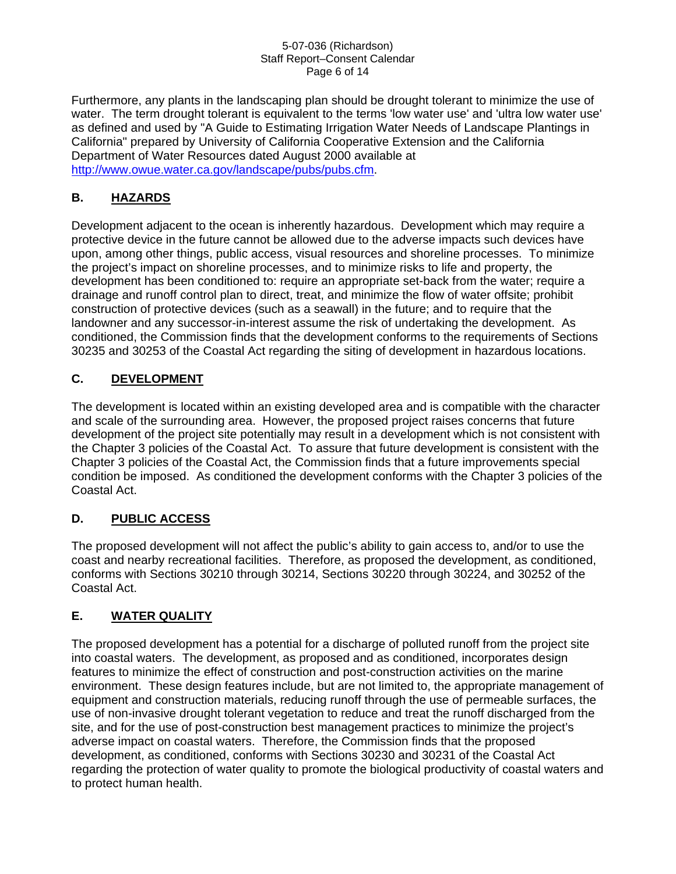#### 5-07-036 (Richardson) Staff Report–Consent Calendar Page 6 of 14

Furthermore, any plants in the landscaping plan should be drought tolerant to minimize the use of water. The term drought tolerant is equivalent to the terms 'low water use' and 'ultra low water use' as defined and used by "A Guide to Estimating Irrigation Water Needs of Landscape Plantings in California" prepared by University of California Cooperative Extension and the California Department of Water Resources dated August 2000 available at [http://www.owue.water.ca.gov/landscape/pubs/pubs.cfm.](http://www.owue.water.ca.gov/landscape/pubs/pubs.cfm)

### **B. HAZARDS**

Development adjacent to the ocean is inherently hazardous. Development which may require a protective device in the future cannot be allowed due to the adverse impacts such devices have upon, among other things, public access, visual resources and shoreline processes. To minimize the project's impact on shoreline processes, and to minimize risks to life and property, the development has been conditioned to: require an appropriate set-back from the water; require a drainage and runoff control plan to direct, treat, and minimize the flow of water offsite; prohibit construction of protective devices (such as a seawall) in the future; and to require that the landowner and any successor-in-interest assume the risk of undertaking the development. As conditioned, the Commission finds that the development conforms to the requirements of Sections 30235 and 30253 of the Coastal Act regarding the siting of development in hazardous locations.

### **C. DEVELOPMENT**

The development is located within an existing developed area and is compatible with the character and scale of the surrounding area. However, the proposed project raises concerns that future development of the project site potentially may result in a development which is not consistent with the Chapter 3 policies of the Coastal Act. To assure that future development is consistent with the Chapter 3 policies of the Coastal Act, the Commission finds that a future improvements special condition be imposed. As conditioned the development conforms with the Chapter 3 policies of the Coastal Act.

## **D. PUBLIC ACCESS**

The proposed development will not affect the public's ability to gain access to, and/or to use the coast and nearby recreational facilities. Therefore, as proposed the development, as conditioned, conforms with Sections 30210 through 30214, Sections 30220 through 30224, and 30252 of the Coastal Act.

### **E. WATER QUALITY**

The proposed development has a potential for a discharge of polluted runoff from the project site into coastal waters. The development, as proposed and as conditioned, incorporates design features to minimize the effect of construction and post-construction activities on the marine environment. These design features include, but are not limited to, the appropriate management of equipment and construction materials, reducing runoff through the use of permeable surfaces, the use of non-invasive drought tolerant vegetation to reduce and treat the runoff discharged from the site, and for the use of post-construction best management practices to minimize the project's adverse impact on coastal waters. Therefore, the Commission finds that the proposed development, as conditioned, conforms with Sections 30230 and 30231 of the Coastal Act regarding the protection of water quality to promote the biological productivity of coastal waters and to protect human health.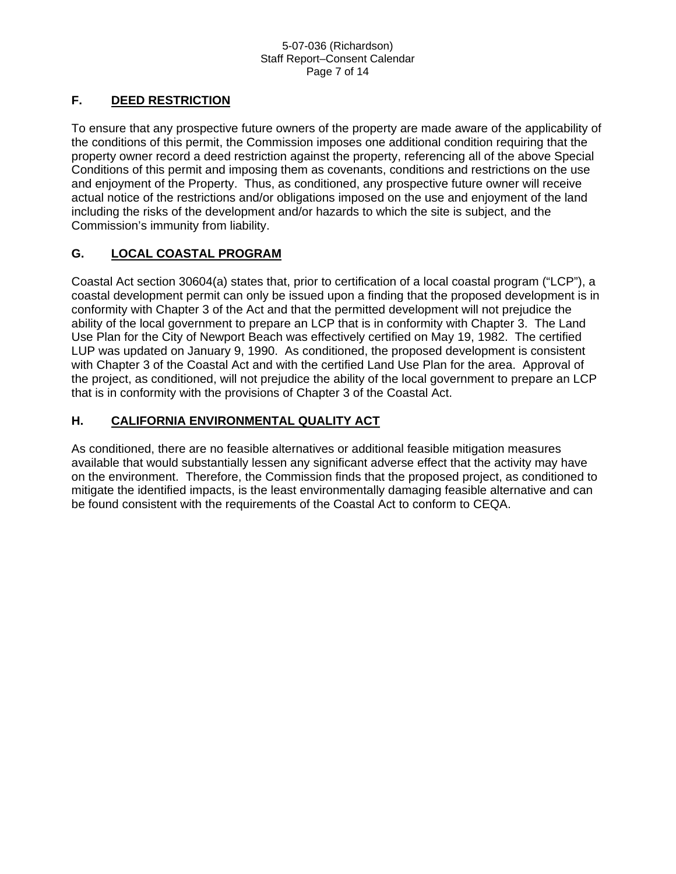#### 5-07-036 (Richardson) Staff Report–Consent Calendar Page 7 of 14

### **F. DEED RESTRICTION**

To ensure that any prospective future owners of the property are made aware of the applicability of the conditions of this permit, the Commission imposes one additional condition requiring that the property owner record a deed restriction against the property, referencing all of the above Special Conditions of this permit and imposing them as covenants, conditions and restrictions on the use and enjoyment of the Property. Thus, as conditioned, any prospective future owner will receive actual notice of the restrictions and/or obligations imposed on the use and enjoyment of the land including the risks of the development and/or hazards to which the site is subject, and the Commission's immunity from liability.

### **G. LOCAL COASTAL PROGRAM**

Coastal Act section 30604(a) states that, prior to certification of a local coastal program ("LCP"), a coastal development permit can only be issued upon a finding that the proposed development is in conformity with Chapter 3 of the Act and that the permitted development will not prejudice the ability of the local government to prepare an LCP that is in conformity with Chapter 3. The Land Use Plan for the City of Newport Beach was effectively certified on May 19, 1982. The certified LUP was updated on January 9, 1990. As conditioned, the proposed development is consistent with Chapter 3 of the Coastal Act and with the certified Land Use Plan for the area. Approval of the project, as conditioned, will not prejudice the ability of the local government to prepare an LCP that is in conformity with the provisions of Chapter 3 of the Coastal Act.

### **H. CALIFORNIA ENVIRONMENTAL QUALITY ACT**

As conditioned, there are no feasible alternatives or additional feasible mitigation measures available that would substantially lessen any significant adverse effect that the activity may have on the environment. Therefore, the Commission finds that the proposed project, as conditioned to mitigate the identified impacts, is the least environmentally damaging feasible alternative and can be found consistent with the requirements of the Coastal Act to conform to CEQA.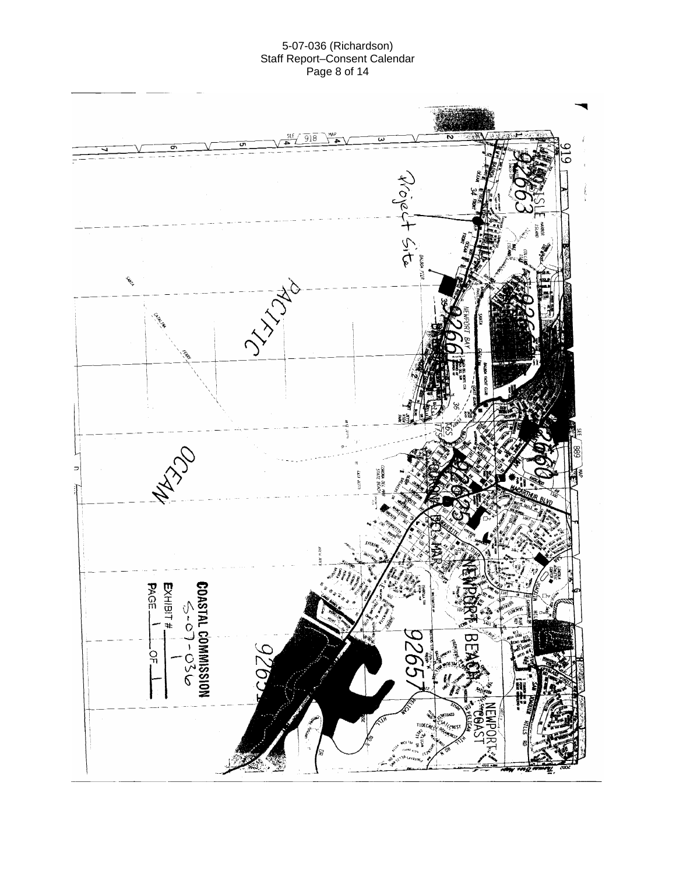#### 5-07-036 (Richardson) Staff Report–Consent Calendar Page 8 of 14

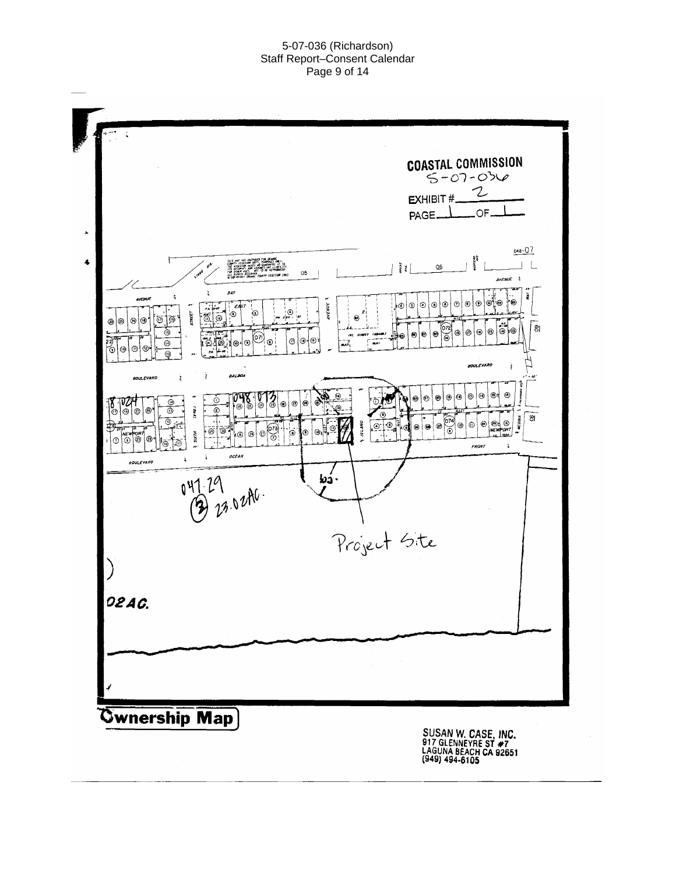#### 5-07-036 (Richardson) Staff Report–Consent Calendar Page 9 of 14

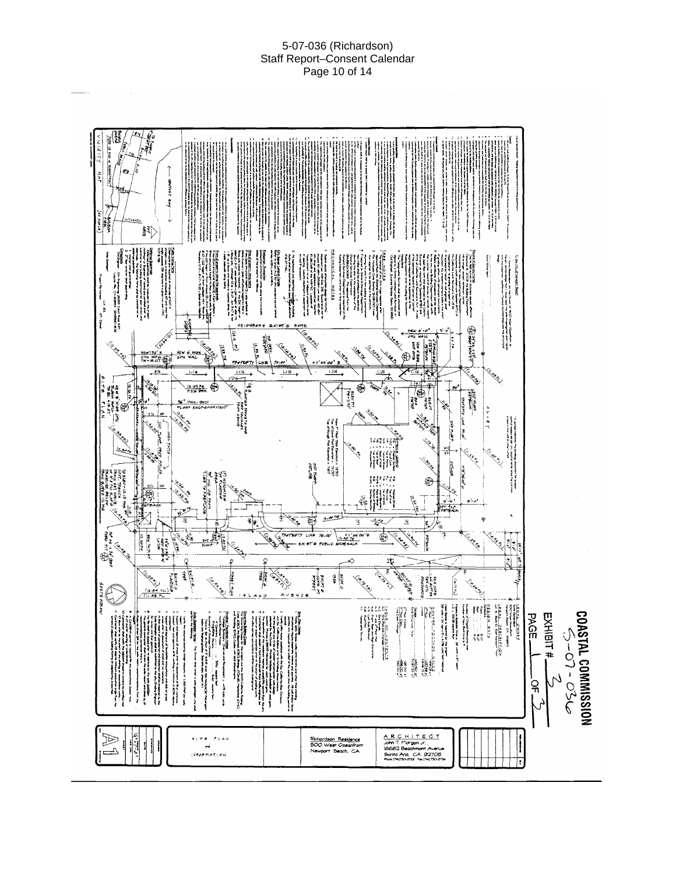#### 5-07-036 (Richardson) Staff Report–Consent Calendar Page 10 of 14

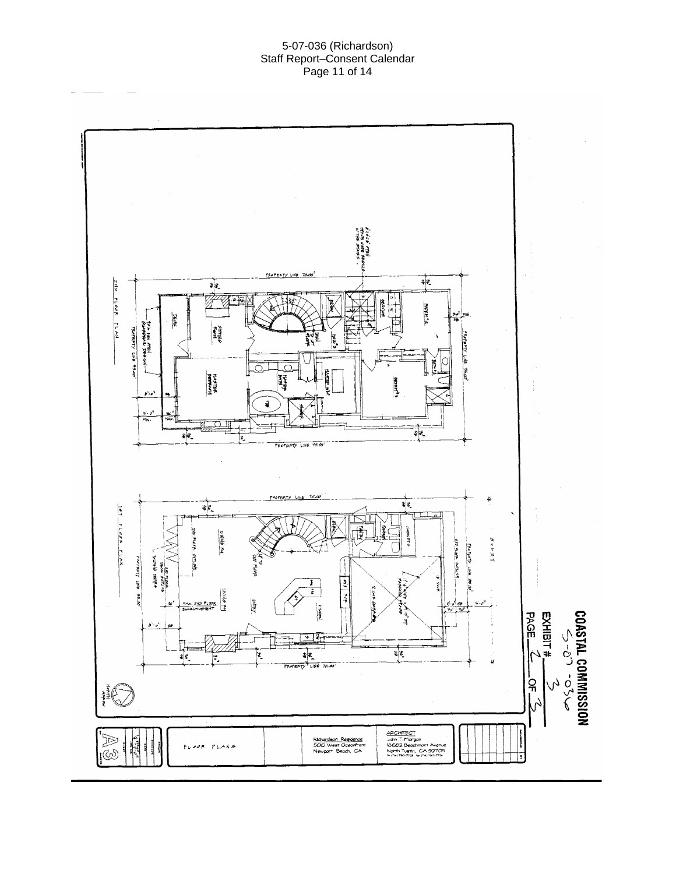#### 5-07-036 (Richardson) Staff Report–Consent Calendar Page 11 of 14

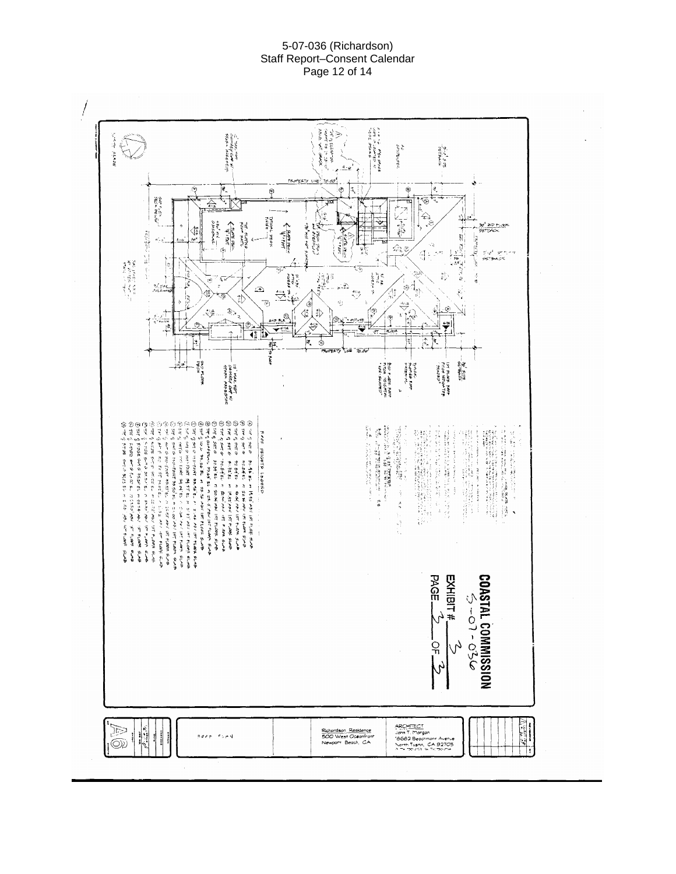#### 5-07-036 (Richardson) Staff Report–Consent Calendar Page 12 of 14

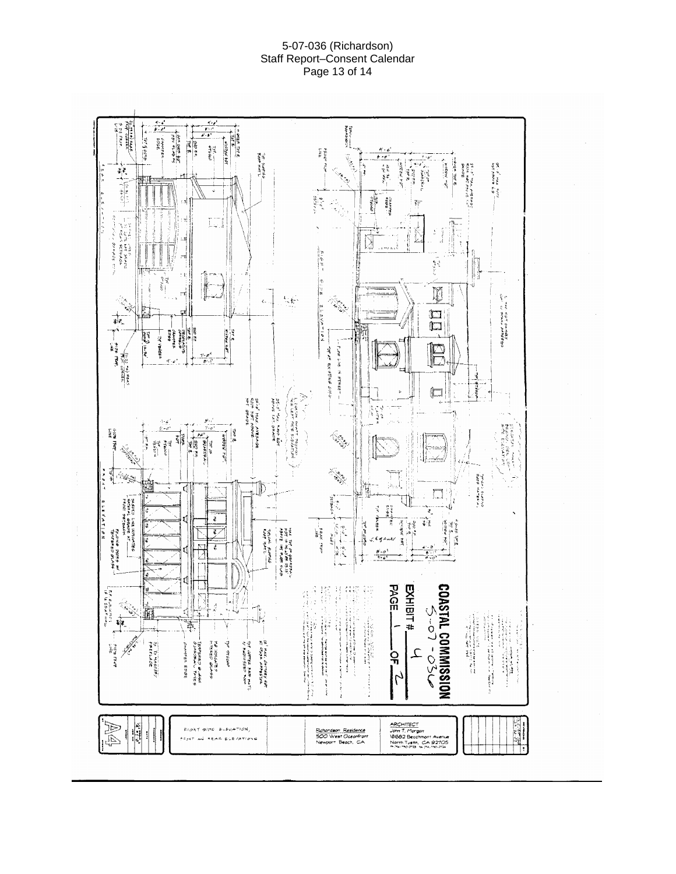#### 5-07-036 (Richardson) Staff Report–Consent Calendar Page 13 of 14